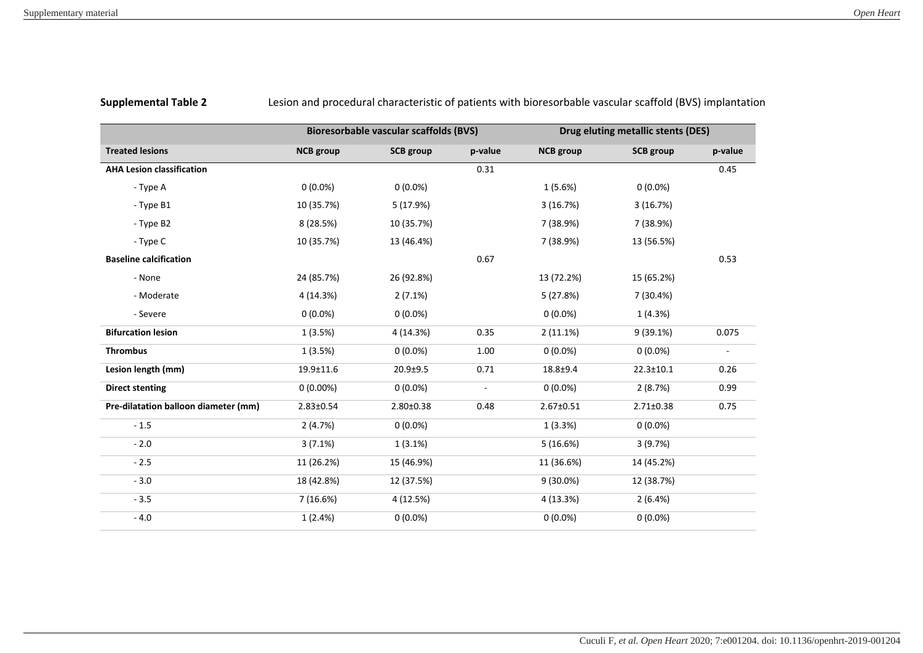**Supplemental Table 2** Lesion and procedural characteristic of patients with bioresorbable vascular scaffold (BVS) implantation

|                                      | <b>Bioresorbable vascular scaffolds (BVS)</b> |                  |         | Drug eluting metallic stents (DES) |                  |                          |
|--------------------------------------|-----------------------------------------------|------------------|---------|------------------------------------|------------------|--------------------------|
| <b>Treated lesions</b>               | <b>NCB</b> group                              | <b>SCB</b> group | p-value | <b>NCB</b> group                   | <b>SCB</b> group | p-value                  |
| <b>AHA Lesion classification</b>     |                                               |                  | 0.31    |                                    |                  | 0.45                     |
| - Type A                             | $0(0.0\%)$                                    | $0(0.0\%)$       |         | 1(5.6%)                            | $0(0.0\%)$       |                          |
| - Type B1                            | 10 (35.7%)                                    | 5 (17.9%)        |         | 3(16.7%)                           | 3(16.7%)         |                          |
| - Type B2                            | 8 (28.5%)                                     | 10 (35.7%)       |         | 7 (38.9%)                          | 7 (38.9%)        |                          |
| - Type C                             | 10 (35.7%)                                    | 13 (46.4%)       |         | 7 (38.9%)                          | 13 (56.5%)       |                          |
| <b>Baseline calcification</b>        |                                               |                  | 0.67    |                                    |                  | 0.53                     |
| - None                               | 24 (85.7%)                                    | 26 (92.8%)       |         | 13 (72.2%)                         | 15 (65.2%)       |                          |
| - Moderate                           | 4 (14.3%)                                     | 2(7.1%)          |         | 5(27.8%)                           | 7 (30.4%)        |                          |
| - Severe                             | $0(0.0\%)$                                    | $0(0.0\%)$       |         | $0(0.0\%)$                         | 1(4.3%)          |                          |
| <b>Bifurcation lesion</b>            | 1(3.5%)                                       | 4 (14.3%)        | 0.35    | 2(11.1%)                           | 9(39.1%)         | 0.075                    |
| <b>Thrombus</b>                      | 1(3.5%)                                       | $0(0.0\%)$       | 1.00    | $0(0.0\%)$                         | $0(0.0\%)$       | $\overline{\phantom{a}}$ |
| Lesion length (mm)                   | 19.9±11.6                                     | $20.9 + 9.5$     | 0.71    | $18.8 + 9.4$                       | $22.3 \pm 10.1$  | 0.26                     |
| <b>Direct stenting</b>               | $0(0.00\%)$                                   | $0(0.0\%)$       |         | $0(0.0\%)$                         | 2(8.7%)          | 0.99                     |
| Pre-dilatation balloon diameter (mm) | $2.83 \pm 0.54$                               | $2.80 \pm 0.38$  | 0.48    | 2.67±0.51                          | $2.71 \pm 0.38$  | 0.75                     |
| $-1.5$                               | 2(4.7%)                                       | $0(0.0\%)$       |         | 1(3.3%)                            | $0(0.0\%)$       |                          |
| $-2.0$                               | 3(7.1%)                                       | 1(3.1%)          |         | 5(16.6%)                           | 3(9.7%)          |                          |
| $-2.5$                               | 11 (26.2%)                                    | 15 (46.9%)       |         | 11 (36.6%)                         | 14 (45.2%)       |                          |
| $-3.0$                               | 18 (42.8%)                                    | 12 (37.5%)       |         | $9(30.0\%)$                        | 12 (38.7%)       |                          |
| $-3.5$                               | 7(16.6%)                                      | 4 (12.5%)        |         | 4 (13.3%)                          | 2(6.4%)          |                          |
| $-4.0$                               | 1(2.4%)                                       | $0(0.0\%)$       |         | $0(0.0\%)$                         | $0(0.0\%)$       |                          |